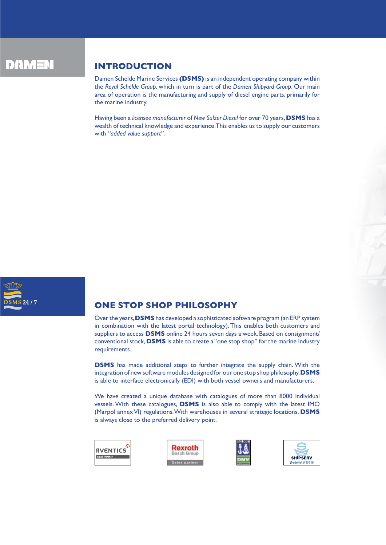

#### **INTRODUCTION**

Damen Schelde Marine Services **(DSMS)** is an independent operating company within the *Royal Schelde Group*, which in turn is part of the *Damen Shipyard Group*. Our main area of operation is the manufacturing and supply of diesel engine parts, primarily for the marine industry.

Having been a *licensee manufacturer* of *New Sulzer Diesel* for over 70 years, **DSMS** has a wealth of technical knowledge and experience. This enables us to supply our customers with *"added value support"*.



#### **ONE STOP SHOP PHILOSOPHY**

Over the years, **DSMS** has developed a sophisticated software program (an ERP system in combination with the latest portal technology). This enables both customers and suppliers to access **DSMS** online 24 hours seven days a week. Based on consignment/ conventional stock, **DSMS** is able to create a "one stop shop" for the marine industry requirements.

**DSMS** has made additional steps to further integrate the supply chain. With the integration of new software modules designed for our one stop shop philosophy, **DSMS** is able to interface electronically (EDI) with both vessel owners and manufacturers.

We have created a unique database with catalogues of more than 8000 individual vessels. With these catalogues, **DSMS** is also able to comply with the latest IMO (Marpol annex VI) regulations. With warehouses in several strategic locations, **DSMS** is always close to the preferred delivery point.







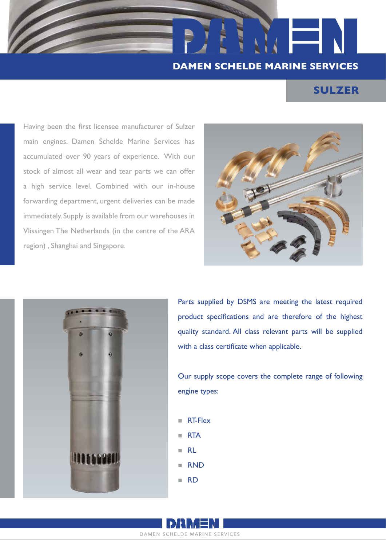## **SULZER**

Having been the first licensee manufacturer of Sulzer main engines. Damen Schelde Marine Services has accumulated over 90 years of experience. With our stock of almost all wear and tear parts we can offer a high service level. Combined with our in-house forwarding department, urgent deliveries can be made immediately. Supply is available from our warehouses in Vlissingen The Netherlands (in the centre of the ARA region) , Shanghai and Singapore.





Parts supplied by DSMS are meeting the latest required product specifications and are therefore of the highest quality standard. All class relevant parts will be supplied with a class certificate when applicable.

Our supply scope covers the complete range of following engine types:

- **RT-Flex**
- **RTA**
- **RL**
- RND
- RD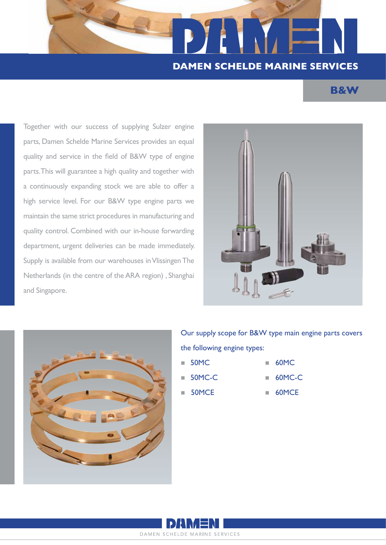# **B&W**

Together with our success of supplying Sulzer engine parts, Damen Schelde Marine Services provides an equal quality and service in the field of B&W type of engine parts. This will guarantee a high quality and together with a continuously expanding stock we are able to offer a high service level. For our B&W type engine parts we maintain the same strict procedures in manufacturing and quality control. Combined with our in-house forwarding department, urgent deliveries can be made immediately. Supply is available from our warehouses in Vlissingen The Netherlands (in the centre of the ARA region) , Shanghai and Singapore.





Our supply scope for B&W type main engine parts covers the following engine types:

- $50MC$  60MC
- $50MC-C$  60MC-C
- 50MCE 60MCE

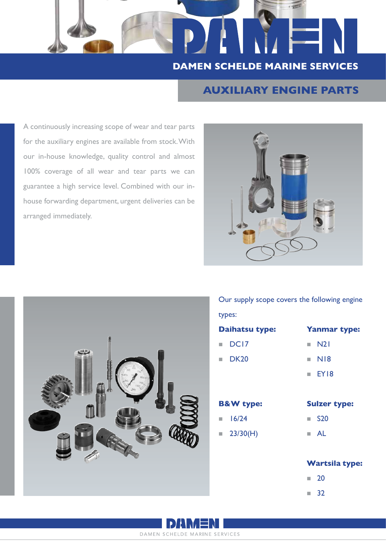

# **AUXILIARY ENGINE PARTS**

A continuously increasing scope of wear and tear parts for the auxiliary engines are available from stock. With our in-house knowledge, quality control and almost 100% coverage of all wear and tear parts we can guarantee a high service level. Combined with our inhouse forwarding department, urgent deliveries can be arranged immediately.





Our supply scope covers the following engine types:

| <b>Daihatsu type:</b>   | <b>Yanmar type:</b> |
|-------------------------|---------------------|
| DC <sub>17</sub><br>ш   | N21<br>m.           |
| $\blacksquare$ DK20     | $\blacksquare$ NI8  |
|                         | $\blacksquare$ EY18 |
|                         |                     |
|                         |                     |
| <b>B&amp;W type:</b>    | <b>Sulzer type:</b> |
| 16/24<br>ш              | $\blacksquare$ S20  |
| $\blacksquare$ 23/30(H) | $\blacksquare$ AL   |
|                         |                     |

 $\blacksquare$  32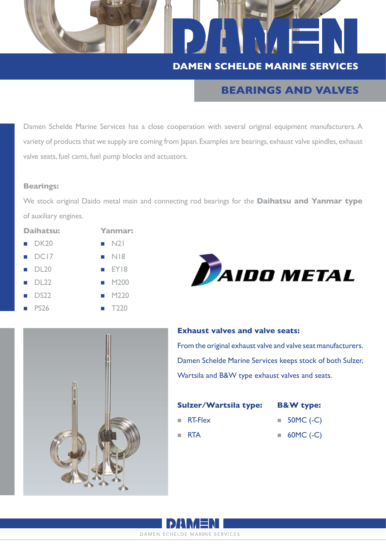# **BEARINGS AND VALVES**

Damen Schelde Marine Services has a close cooperation with several original equipment manufacturers. A variety of products that we supply are coming from Japan. Examples are bearings, exhaust valve spindles, exhaust valve seats, fuel cams, fuel pump blocks and actuators.

#### **Bearings:**

We stock original Daido metal main and connecting rod bearings for the **Daihatsu and Yanmar type** of auxiliary engines.

- **Daihatsu: Yanmar:**
- $DK20$   $N21$
- $DC17$  NI8
- 
- 
- 
- 
- $DL20$  EY18
- $DI$  22 M200
- $DS22$  M220
- PS26 T220





## **Exhaust valves and valve seats:**

From the original exhaust valve and valve seat manufacturers. Damen Schelde Marine Services keeps stock of both Sulzer, Wartsila and B&W type exhaust valves and seats.

#### **Sulzer/Wartsila type: B&W type:**

- 
- $R$ T-Flex  $\qquad \qquad \blacksquare$  50MC (-C)
- 
- 
- 
- $RTA$  60 MC (-C)

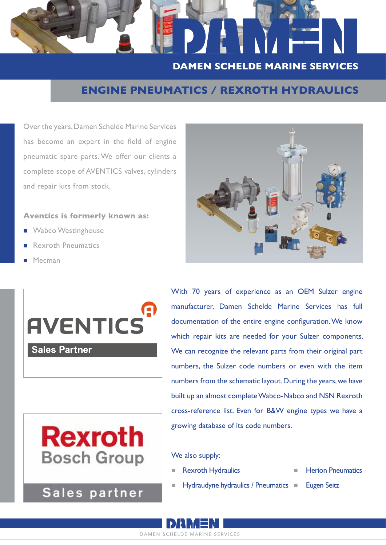

# **ENGINE PNEUMATICS / REXROTH HYDRAULICS**

Over the years, Damen Schelde Marine Services has become an expert in the field of engine pneumatic spare parts. We offer our clients a complete scope of AVENTICS valves, cylinders and repair kits from stock.

#### **Aventics is formerly known as:**

- Wabco Westinghouse
- Rexroth Pneumatics
- Mecman

# **AVENTICS**

**Sales Partner** 



Sales partner



With 70 years of experience as an OEM Sulzer engine manufacturer, Damen Schelde Marine Services has full documentation of the entire engine configuration. We know which repair kits are needed for your Sulzer components. We can recognize the relevant parts from their original part numbers, the Sulzer code numbers or even with the item numbers from the schematic layout. During the years, we have built up an almost complete Wabco-Nabco and NSN Rexroth cross-reference list. Even for B&W engine types we have a growing database of its code numbers.

#### We also supply:

- 
- Rexroth Hydraulics **Herion Pneumatics Herion Pneumatics**
- Hydraudyne hydraulics / Pneumatics **Eugen Seitz**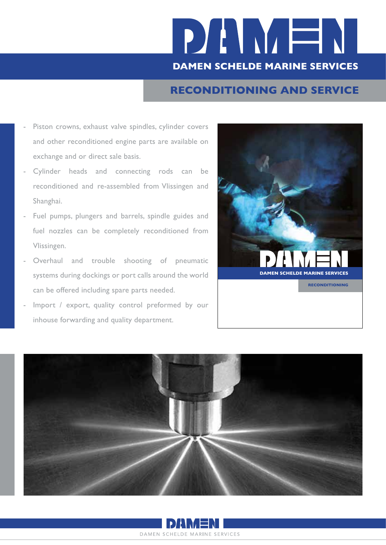# **RECONDITIONING AND SERVICE**

- Piston crowns, exhaust valve spindles, cylinder covers and other reconditioned engine parts are available on exchange and or direct sale basis.
- Cylinder heads and connecting rods can be reconditioned and re-assembled from Vlissingen and Shanghai.
- Fuel pumps, plungers and barrels, spindle guides and fuel nozzles can be completely reconditioned from Vlissingen.
- Overhaul and trouble shooting of pneumatic systems during dockings or port calls around the world can be offered including spare parts needed.
- Import / export, quality control preformed by our inhouse forwarding and quality department.





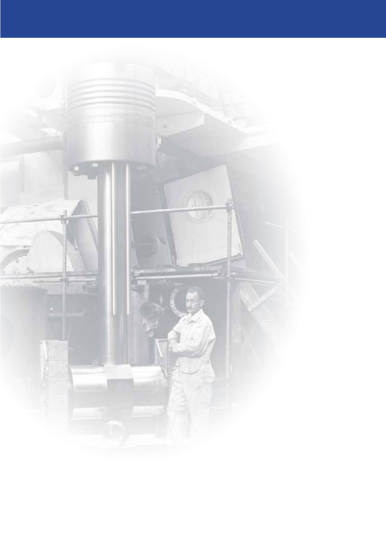